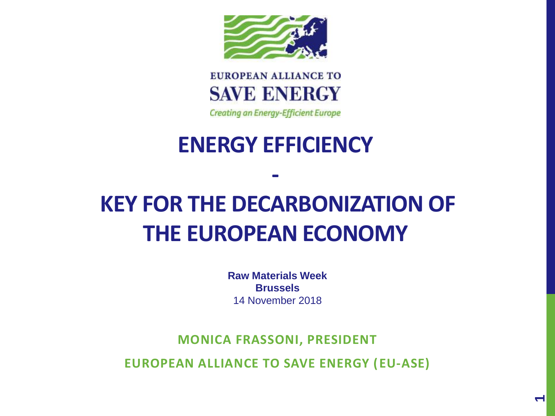



**Creating an Energy-Efficient Europe** 

## **ENERGY EFFICIENCY**

**-**

# **KEY FOR THE DECARBONIZATION OF THE EUROPEAN ECONOMY**

**Raw Materials Week Brussels** 14 November 2018

**MONICA FRASSONI, PRESIDENT**

**EUROPEAN ALLIANCE TO SAVE ENERGY (EU-ASE)**

**1**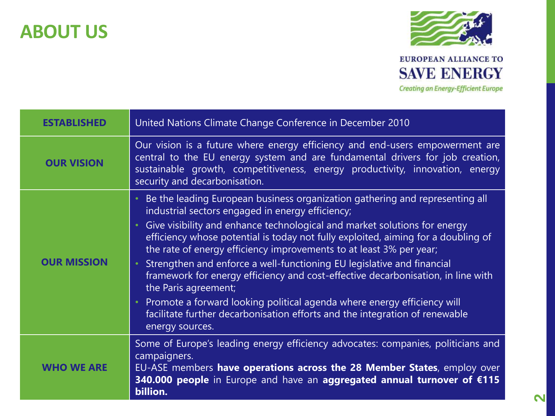### **ABOUT US**



| <b>ESTABLISHED</b> | United Nations Climate Change Conference in December 2010                                                                                                                                                                                                                                                                                                                                                                                                                                                                                                                                                                                                                                                                                    |
|--------------------|----------------------------------------------------------------------------------------------------------------------------------------------------------------------------------------------------------------------------------------------------------------------------------------------------------------------------------------------------------------------------------------------------------------------------------------------------------------------------------------------------------------------------------------------------------------------------------------------------------------------------------------------------------------------------------------------------------------------------------------------|
| <b>OUR VISION</b>  | Our vision is a future where energy efficiency and end-users empowerment are<br>central to the EU energy system and are fundamental drivers for job creation,<br>sustainable growth, competitiveness, energy productivity, innovation, energy<br>security and decarbonisation.                                                                                                                                                                                                                                                                                                                                                                                                                                                               |
| <b>OUR MISSION</b> | Be the leading European business organization gathering and representing all<br>industrial sectors engaged in energy efficiency;<br>Give visibility and enhance technological and market solutions for energy<br>efficiency whose potential is today not fully exploited, aiming for a doubling of<br>the rate of energy efficiency improvements to at least 3% per year;<br>Strengthen and enforce a well-functioning EU legislative and financial<br>framework for energy efficiency and cost-effective decarbonisation, in line with<br>the Paris agreement;<br>Promote a forward looking political agenda where energy efficiency will<br>facilitate further decarbonisation efforts and the integration of renewable<br>energy sources. |
| <b>WHO WE ARE</b>  | Some of Europe's leading energy efficiency advocates: companies, politicians and<br>campaigners.<br>EU-ASE members have operations across the 28 Member States, employ over<br>340.000 people in Europe and have an aggregated annual turnover of €115<br>billion.                                                                                                                                                                                                                                                                                                                                                                                                                                                                           |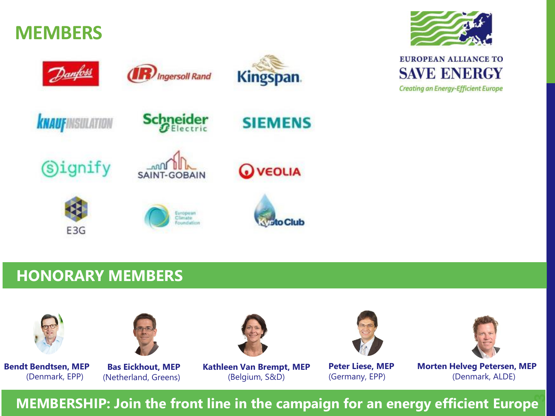

### **HONORARY MEMBERS**



**Bendt Bendtsen, MEP** (Denmark, EPP)



**Bas Eickhout, MEP** (Netherland, Greens) **Kathleen Van Brempt, MEP** (Belgium, S&D)

**Peter Liese, MEP** (Germany, EPP)

**Morten Helveg Petersen, MEP** (Denmark, ALDE)

**MEMBERSHIP: <sup>3</sup> Join the front line in the campaign for an energy efficient Europe**



**EUROPEAN ALLIANCE TO SAVE ENERGY Creating an Energy-Efficient Europe**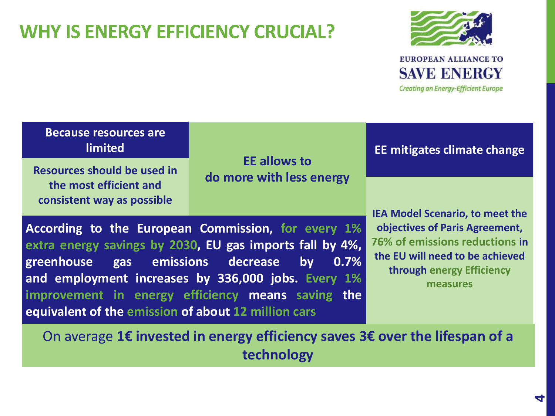### **WHY IS ENERGY EFFICIENCY CRUCIAL?**



**Creating an Energy-Efficient Europe** 

### **Because resources are limited**

**Resources should be used in the most efficient and consistent way as possible**

**EE allows to do more with less energy** **EE mitigates climate change**

**According to the European Commission, for every 1% extra energy savings by 2030, EU gas imports fall by 4%, greenhouse gas emissions decrease by 0.7% and employment increases by 336,000 jobs. Every 1% improvement in energy efficiency means saving the equivalent of the emission of about 12 million cars**

**IEA Model Scenario, to meet the objectives of Paris Agreement, 76% of emissions reductions in the EU will need to be achieved through energy Efficiency measures**

On average **1€ invested in energy efficiency saves 3€ over the lifespan of a technology**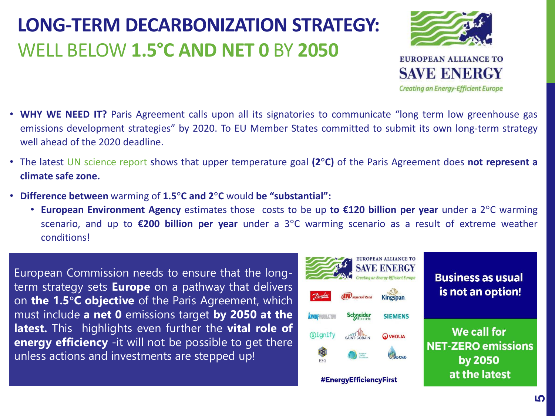### **LONG-TERM DECARBONIZATION STRATEGY:**  WELL BELOW **1.5°C AND NET 0** BY **2050**

- **EUROPEAN ALLIANCE TO SAVE ENERGY Creating an Energy-Efficient Europe**
- **WHY WE NEED IT?** Paris Agreement calls upon all its signatories to communicate "long term low greenhouse gas emissions development strategies" by 2020. To EU Member States committed to submit its own long-term strategy well ahead of the 2020 deadline.
- The latest UN [science](https://www.euractiv.com/section/climate-environment/news/warming-of-2c-substantially-more-harmful-than-1-5c-draft-un-report/) report shows that upper temperature goal **(2°C)** of the Paris Agreement does **not represent a climate safe zone.**
- **Difference between** warming of **1.5°C and 2°C** would **be "substantial":**
	- **European Environment Agency** estimates those costs to be up **to €120 billion per year** under a 2°C warming scenario, and up to **€200 billion per year** under a 3°C warming scenario as a result of extreme weather conditions!

European Commission needs to ensure that the longterm strategy sets **Europe** on a pathway that delivers on **the 1.5°C objective** of the Paris Agreement, which must include **a net 0** emissions target **by 2050 at the latest.** This highlights even further the **vital role of energy efficiency** -it will not be possible to get there unless actions and investments are stepped up!

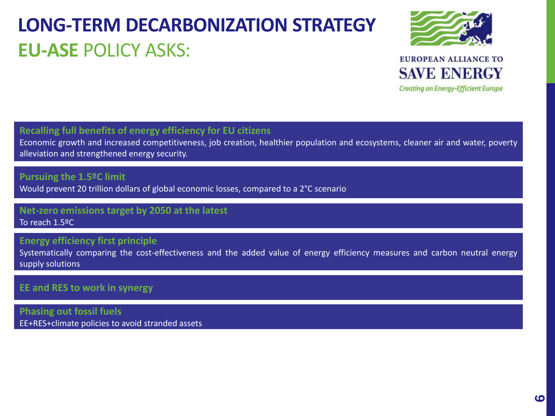### **LONG-TERM DECARBONIZATION STRATEGY EU-ASE** POLICY ASKS:



**EUROPEAN ALLIANCE TO SAVE ENERGY Creating an Energy-Efficient Europe** 

**Recalling full benefits of energy efficiency for EU citizens**

Economic growth and increased competitiveness, job creation, healthier population and ecosystems, cleaner air and water, poverty alleviation and strengthened energy security.

#### **Pursuing the 1.5ºC limit**

Would prevent 20 trillion dollars of global economic losses, compared to a 2°C scenario

#### **Net-zero emissions target by 2050 at the latest** To reach 1.5ºC

#### **Energy efficiency first principle**

Systematically comparing the cost-effectiveness and the added value of energy efficiency measures and carbon neutral energy supply solutions

#### **EE and RES to work in synergy**

**Phasing out fossil fuels** EE+RES+climate policies to avoid stranded assets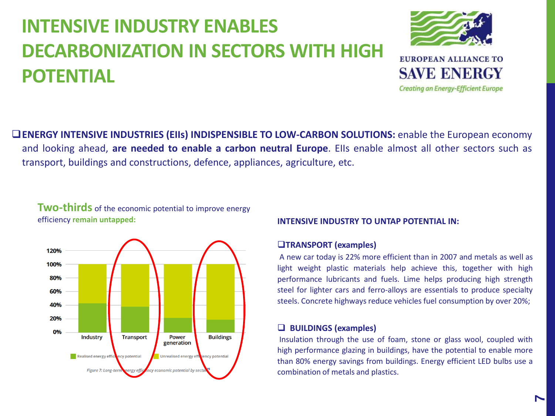### **INTENSIVE INDUSTRY ENABLES DECARBONIZATION IN SECTORS WITH HIGH POTENTIAL**



❑**ENERGY INTENSIVE INDUSTRIES (EIIs) INDISPENSIBLE TO LOW-CARBON SOLUTIONS:** enable the European economy and looking ahead, **are needed to enable a carbon neutral Europe**. EIIs enable almost all other sectors such as transport, buildings and constructions, defence, appliances, agriculture, etc.

**Two-thirds** of the economic potential to improve energy efficiency **remain untapped:**



#### **INTENSIVE INDUSTRY TO UNTAP POTENTIAL IN:**

#### ❑**TRANSPORT (examples)**

A new car today is 22% more efficient than in 2007 and metals as well as light weight plastic materials help achieve this, together with high performance lubricants and fuels. Lime helps producing high strength steel for lighter cars and ferro-alloys are essentials to produce specialty steels. Concrete highways reduce vehicles fuel consumption by over 20%;

#### ❑ **BUILDINGS (examples)**

Insulation through the use of foam, stone or glass wool, coupled with high performance glazing in buildings, have the potential to enable more than 80% energy savings from buildings. Energy efficient LED bulbs use a combination of metals and plastics.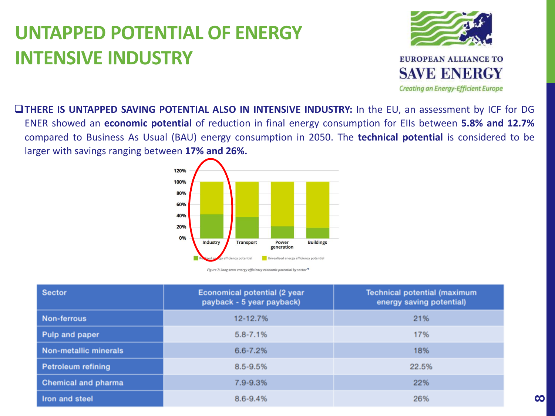### **UNTAPPED POTENTIAL OF ENERGY INTENSIVE INDUSTRY**



❑**THERE IS UNTAPPED SAVING POTENTIAL ALSO IN INTENSIVE INDUSTRY:** In the EU, an assessment by ICF for DG ENER showed an **economic potential** of reduction in final energy consumption for EIIs between **5.8% and 12.7%** compared to Business As Usual (BAU) energy consumption in 2050. The **technical potential** is considered to be larger with savings ranging between **17% and 26%.**



Figure 7: Long-term energy efficiency economic potential by sector<sup>75</sup>

| <b>Sector</b>                | <b>Economical potential (2 year</b><br>payback - 5 year payback) | <b>Technical potential (maximum</b><br>energy saving potential) |
|------------------------------|------------------------------------------------------------------|-----------------------------------------------------------------|
| <b>Non-ferrous</b>           | 12-12.7%                                                         | 21%                                                             |
| Pulp and paper               | $5.8 - 7.1%$                                                     | 17%                                                             |
| <b>Non-metallic minerals</b> | $6.6 - 7.2%$                                                     | 18%                                                             |
| <b>Petroleum refining</b>    | $8.5 - 9.5%$                                                     | 22.5%                                                           |
| <b>Chemical and pharma</b>   | 7.9-9.3%                                                         | 22%                                                             |
| Iron and steel               | $8.6 - 9.4%$                                                     | 26%                                                             |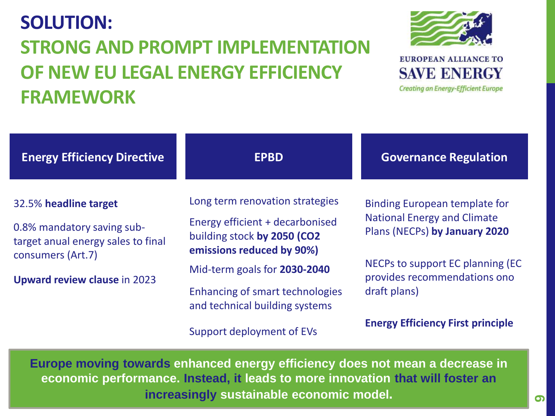### **SOLUTION: STRONG AND PROMPT IMPLEMENTATION OF NEW EU LEGAL ENERGY EFFICIENCY FRAMEWORK**



**Creating an Energy-Efficient Europe** 

| <b>Energy Efficiency Directive</b>                                                                                                                    | <b>EPBD</b>                                                                                                                                                                                                                                                             | <b>Governance Regulation</b>                                                                                                                                                                                                                |
|-------------------------------------------------------------------------------------------------------------------------------------------------------|-------------------------------------------------------------------------------------------------------------------------------------------------------------------------------------------------------------------------------------------------------------------------|---------------------------------------------------------------------------------------------------------------------------------------------------------------------------------------------------------------------------------------------|
| 32.5% headline target<br>0.8% mandatory saving sub-<br>target anual energy sales to final<br>consumers (Art.7)<br><b>Upward review clause in 2023</b> | Long term renovation strategies<br>Energy efficient + decarbonised<br>building stock by 2050 (CO2<br>emissions reduced by 90%)<br>Mid-term goals for 2030-2040<br><b>Enhancing of smart technologies</b><br>and technical building systems<br>Support deployment of EVs | <b>Binding European template for</b><br><b>National Energy and Climate</b><br>Plans (NECPs) by January 2020<br>NECPs to support EC planning (EC<br>provides recommendations ono<br>draft plans)<br><b>Energy Efficiency First principle</b> |

**Europe moving towards enhanced energy efficiency does not mean a decrease in economic performance. Instead, it leads to more innovation that will foster an increasingly sustainable economic model.**